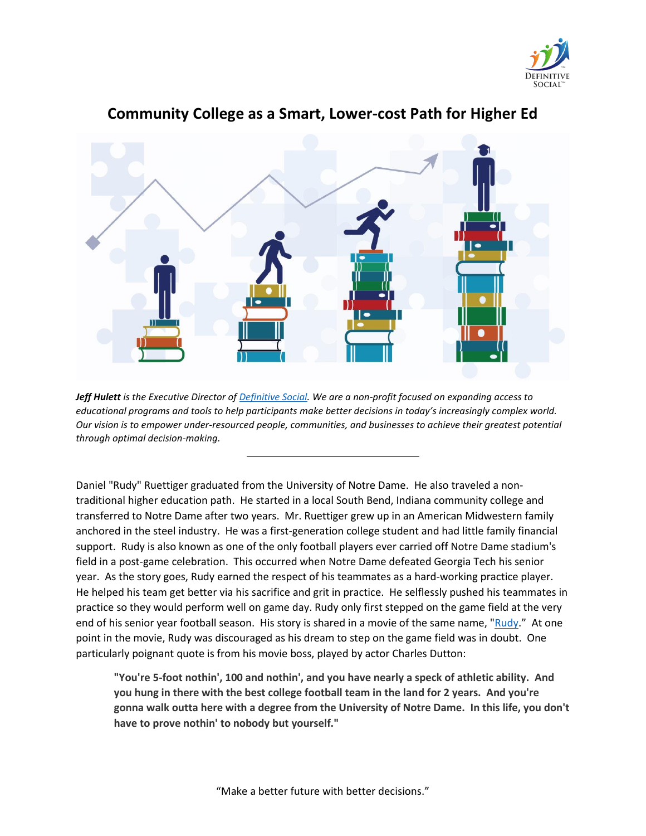



# **Community College as a Smart, Lower-cost Path for Higher Ed**

*Jeff Hulett is the Executive Director of [Definitive Social.](https://www.definitivesocial.org/) We are a non-profit focused on expanding access to educational programs and tools to help participants make better decisions in today's increasingly complex world. Our vision is to empower under-resourced people, communities, and businesses to achieve their greatest potential through optimal decision-making.*

Daniel "Rudy" Ruettiger graduated from the University of Notre Dame. He also traveled a nontraditional higher education path. He started in a local South Bend, Indiana community college and transferred to Notre Dame after two years. Mr. Ruettiger grew up in an American Midwestern family anchored in the steel industry. He was a first-generation college student and had little family financial support. Rudy is also known as one of the only football players ever carried off Notre Dame stadium's field in a post-game celebration. This occurred when Notre Dame defeated Georgia Tech his senior year. As the story goes, Rudy earned the respect of his teammates as a hard-working practice player. He helped his team get better via his sacrifice and grit in practice. He selflessly pushed his teammates in practice so they would perform well on game day. Rudy only first stepped on the game field at the very end of his senior year football season. His story is shared in a movie of the same name, ["Rudy](https://en.wikipedia.org/wiki/Rudy_(film))." At one point in the movie, Rudy was discouraged as his dream to step on the game field was in doubt. One particularly poignant quote is from his movie boss, played by actor Charles Dutton:

**"You're 5-foot nothin', 100 and nothin', and you have nearly a speck of athletic ability. And you hung in there with the best college football team in the land for 2 years. And you're gonna walk outta here with a degree from the University of Notre Dame. In this life, you don't have to prove nothin' to nobody but yourself."**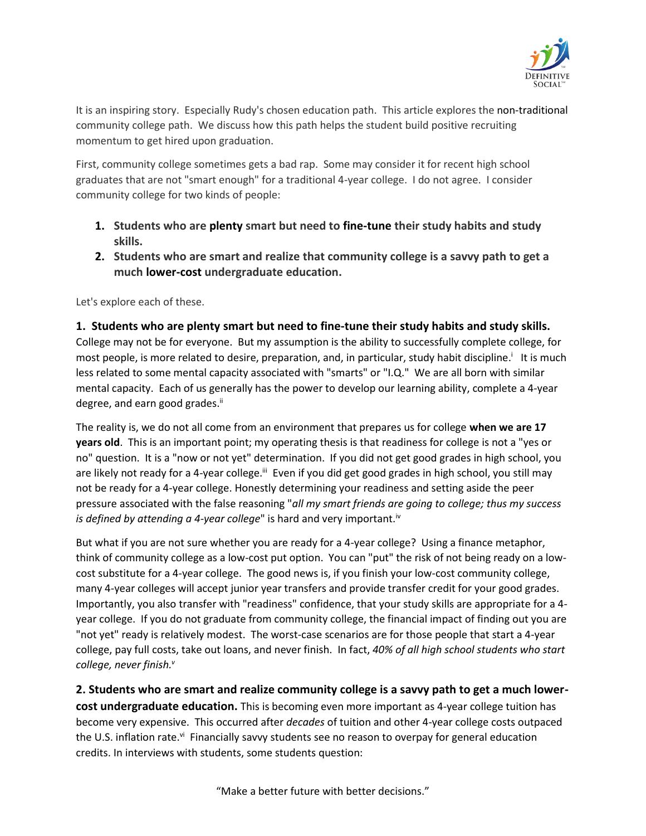

It is an inspiring story. Especially Rudy's chosen education path. This article explores the non-traditional community college path. We discuss how this path helps the student build positive recruiting momentum to get hired upon graduation.

First, community college sometimes gets a bad rap. Some may consider it for recent high school graduates that are not "smart enough" for a traditional 4-year college. I do not agree. I consider community college for two kinds of people:

- **1. Students who are plenty smart but need to fine-tune their study habits and study skills.**
- **2. Students who are smart and realize that community college is a savvy path to get a much lower-cost undergraduate education.**

Let's explore each of these.

#### **1. Students who are plenty smart but need to fine-tune their study habits and study skills.**

College may not be for everyone. But my assumption is the ability to successfully complete college, for most people, is more related to desire, preparation, and, in particular, study habit discipline.<sup>i</sup> It is much less related to some mental capacity associated with "smarts" or "I.Q." We are all born with similar mental capacity. Each of us generally has the power to develop our learning ability, complete a 4-year degree, and earn good grades.<sup>ii</sup>

The reality is, we do not all come from an environment that prepares us for college **when we are 17 years old**. This is an important point; my operating thesis is that readiness for college is not a "yes or no" question. It is a "now or not yet" determination. If you did not get good grades in high school, you are likely not ready for a 4-year college.<sup>ii</sup> Even if you did get good grades in high school, you still may not be ready for a 4-year college. Honestly determining your readiness and setting aside the peer pressure associated with the false reasoning "*all my smart friends are going to college; thus my success is defined by attending a 4-year college*" is hard and very important.<sup>iv</sup>

But what if you are not sure whether you are ready for a 4-year college? Using a finance metaphor, think of community college as a low-cost put option. You can "put" the risk of not being ready on a lowcost substitute for a 4-year college. The good news is, if you finish your low-cost community college, many 4-year colleges will accept junior year transfers and provide transfer credit for your good grades. Importantly, you also transfer with "readiness" confidence, that your study skills are appropriate for a 4 year college. If you do not graduate from community college, the financial impact of finding out you are "not yet" ready is relatively modest. The worst-case scenarios are for those people that start a 4-year college, pay full costs, take out loans, and never finish. In fact, *40% of all high school students who start college, never finish.<sup>v</sup>*

**2. Students who are smart and realize community college is a savvy path to get a much lowercost undergraduate education.** This is becoming even more important as 4-year college tuition has become very expensive. This occurred after *decades* of tuition and other 4-year college costs outpaced the U.S. inflation rate.<sup>vi</sup> Financially savvy students see no reason to overpay for general education credits. In interviews with students, some students question: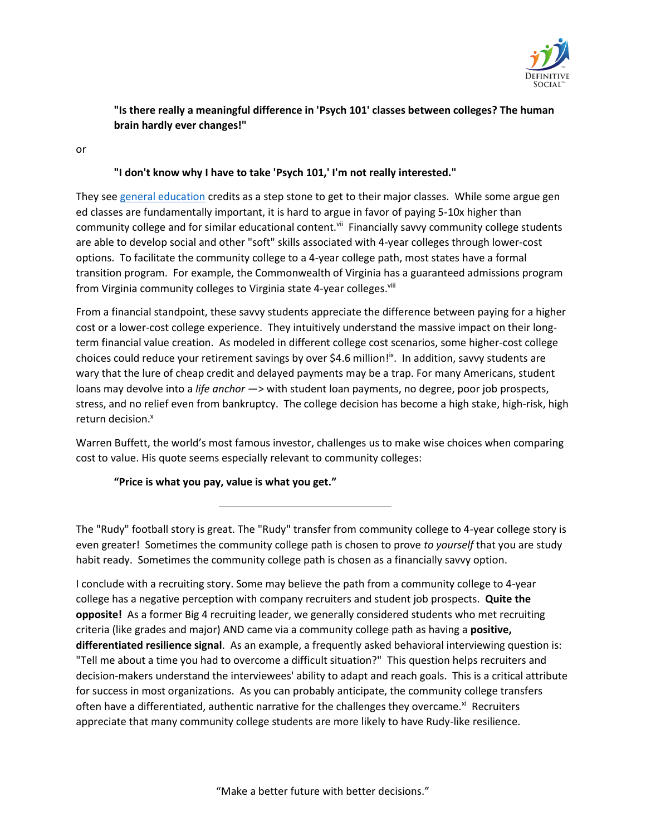

## **"Is there really a meaningful difference in 'Psych 101' classes between colleges? The human brain hardly ever changes!"**

or

#### **"I don't know why I have to take 'Psych 101,' I'm not really interested."**

They see [general education](https://www.bestcolleges.com/blog/what-is-general-education/) credits as a step stone to get to their major classes. While some argue gen ed classes are fundamentally important, it is hard to argue in favor of paying 5-10x higher than community college and for similar educational content.<sup>vii</sup> Financially savvy community college students are able to develop social and other "soft" skills associated with 4-year colleges through lower-cost options. To facilitate the community college to a 4-year college path, most states have a formal transition program. For example, the Commonwealth of Virginia has a guaranteed admissions program from Virginia community colleges to Virginia state 4-year colleges. Vili

From a financial standpoint, these savvy students appreciate the difference between paying for a higher cost or a lower-cost college experience. They intuitively understand the massive impact on their longterm financial value creation. As modeled in different college cost scenarios, some higher-cost college choices could reduce your retirement savings by over \$4.6 million!<sup>ix</sup>. In addition, savvy students are wary that the lure of cheap credit and delayed payments may be a trap. For many Americans, student loans may devolve into a *life anchor* —> with student loan payments, no degree, poor job prospects, stress, and no relief even from bankruptcy. The college decision has become a high stake, high-risk, high return decision.<sup>x</sup>

Warren Buffett, the world's most famous investor, challenges us to make wise choices when comparing cost to value. His quote seems especially relevant to community colleges:

#### **"Price is what you pay, value is what you get."**

The "Rudy" football story is great. The "Rudy" transfer from community college to 4-year college story is even greater! Sometimes the community college path is chosen to prove *to yourself* that you are study habit ready. Sometimes the community college path is chosen as a financially savvy option.

I conclude with a recruiting story. Some may believe the path from a community college to 4-year college has a negative perception with company recruiters and student job prospects. **Quite the opposite!** As a former Big 4 recruiting leader, we generally considered students who met recruiting criteria (like grades and major) AND came via a community college path as having a **positive, differentiated resilience signal**. As an example, a frequently asked behavioral interviewing question is: "Tell me about a time you had to overcome a difficult situation?" This question helps recruiters and decision-makers understand the interviewees' ability to adapt and reach goals. This is a critical attribute for success in most organizations. As you can probably anticipate, the community college transfers often have a differentiated, authentic narrative for the challenges they overcame. $x_i$  Recruiters appreciate that many community college students are more likely to have Rudy-like resilience.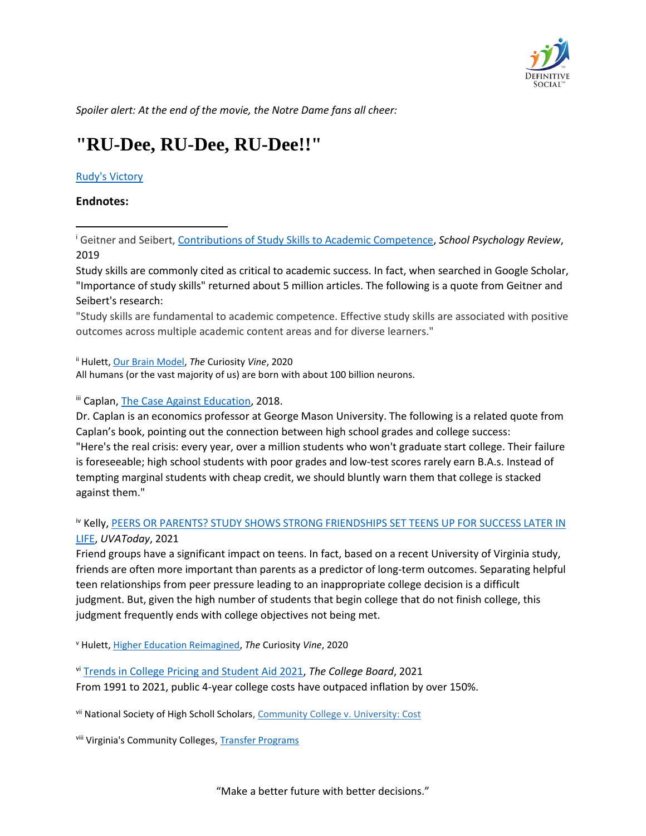

*Spoiler alert: At the end of the movie, the Notre Dame fans all cheer:*

# **"RU-Dee, RU-Dee, RU-Dee!!"**

#### [Rudy's Victory](https://youtu.be/ZI63g64kDgY)

#### **Endnotes:**

<sup>i</sup> Geitner and Seibert[, Contributions of Study Skills to Academic Competence,](https://www.tandfonline.com/doi/abs/10.1080/02796015.2002.12086160) *School Psychology Review*, 2019

Study skills are commonly cited as critical to academic success. In fact, when searched in Google Scholar, "Importance of study skills" returned about 5 million articles. The following is a quote from Geitner and Seibert's research:

"Study skills are fundamental to academic competence. Effective study skills are associated with positive outcomes across multiple academic content areas and for diverse learners."

ii Hulett[, Our Brain Model,](https://www.thecuriosityvine.com/post/brain-model) *The* Curiosity *Vine*, 2020 All humans (or the vast majority of us) are born with about 100 billion neurons.

iii Caplan, [The Case Against Education,](https://www.goodreads.com/book/show/36319077-the-case-against-education) 2018.

Dr. Caplan is an economics professor at George Mason University. The following is a related quote from Caplan's book, pointing out the connection between high school grades and college success: "Here's the real crisis: every year, over a million students who won't graduate start college. Their failure is foreseeable; high school students with poor grades and low-test scores rarely earn B.A.s. Instead of tempting marginal students with cheap credit, we should bluntly warn them that college is stacked against them."

### <sup>iv</sup> Kelly, PEERS OR PARENTS? STUDY SHOWS STRONG FRIENDSHIPS SET TEENS UP FOR SUCCESS LATER IN [LIFE,](https://news.virginia.edu/content/peers-or-parents-study-shows-strong-friendships-set-teens-success-) *UVAToday*, 2021

Friend groups have a significant impact on teens. In fact, based on a recent University of Virginia study, friends are often more important than parents as a predictor of long-term outcomes. Separating helpful teen relationships from peer pressure leading to an inappropriate college decision is a difficult judgment. But, given the high number of students that begin college that do not finish college, this judgment frequently ends with college objectives not being met.

<sup>v</sup> Hulett[, Higher Education Reimagined,](https://www.thecuriosityvine.com/post/higher-education-reimagined) *The* Curiosity *Vine*, 2020

vi [Trends in College Pricing and Student Aid 2021,](https://research.collegeboard.org/pdf/trends-college-pricing-student-aid-2021.pdf) *The College Board*, 2021 From 1991 to 2021, public 4-year college costs have outpaced inflation by over 150%.

vii National Society of High Scholl Scholars, [Community College v. University: Cost](https://www.nshss.org/blog/community-college-vs-university-pros-and-cons-of-cost-class-size-and-student-experience)

viii Virginia's Community Colleges, [Transfer Programs](https://www.vccs.edu/transfer-programs/)